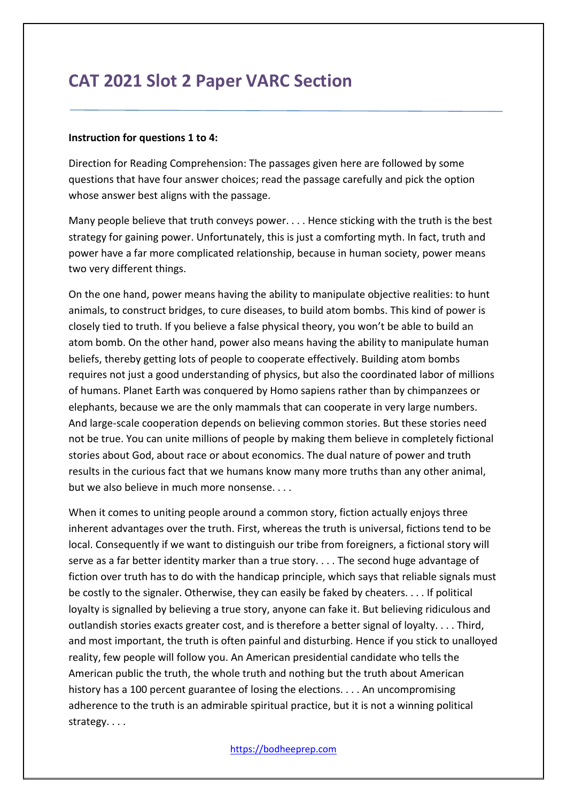# **CAT 2021 Slot 2 Paper VARC Section**

#### **Instruction for questions 1 to 4:**

Direction for Reading Comprehension: The passages given here are followed by some questions that have four answer choices; read the passage carefully and pick the option whose answer best aligns with the passage.

Many people believe that truth conveys power. . . . Hence sticking with the truth is the best strategy for gaining power. Unfortunately, this is just a comforting myth. In fact, truth and power have a far more complicated relationship, because in human society, power means two very different things.

On the one hand, power means having the ability to manipulate objective realities: to hunt animals, to construct bridges, to cure diseases, to build atom bombs. This kind of power is closely tied to truth. If you believe a false physical theory, you won't be able to build an atom bomb. On the other hand, power also means having the ability to manipulate human beliefs, thereby getting lots of people to cooperate effectively. Building atom bombs requires not just a good understanding of physics, but also the coordinated labor of millions of humans. Planet Earth was conquered by Homo sapiens rather than by chimpanzees or elephants, because we are the only mammals that can cooperate in very large numbers. And large-scale cooperation depends on believing common stories. But these stories need not be true. You can unite millions of people by making them believe in completely fictional stories about God, about race or about economics. The dual nature of power and truth results in the curious fact that we humans know many more truths than any other animal, but we also believe in much more nonsense.

When it comes to uniting people around a common story, fiction actually enjoys three inherent advantages over the truth. First, whereas the truth is universal, fictions tend to be local. Consequently if we want to distinguish our tribe from foreigners, a fictional story will serve as a far better identity marker than a true story. . . . The second huge advantage of fiction over truth has to do with the handicap principle, which says that reliable signals must be costly to the signaler. Otherwise, they can easily be faked by cheaters. . . . If political loyalty is signalled by believing a true story, anyone can fake it. But believing ridiculous and outlandish stories exacts greater cost, and is therefore a better signal of loyalty. . . . Third, and most important, the truth is often painful and disturbing. Hence if you stick to unalloyed reality, few people will follow you. An American presidential candidate who tells the American public the truth, the whole truth and nothing but the truth about American history has a 100 percent guarantee of losing the elections. . . . An uncompromising adherence to the truth is an admirable spiritual practice, but it is not a winning political strategy. . . .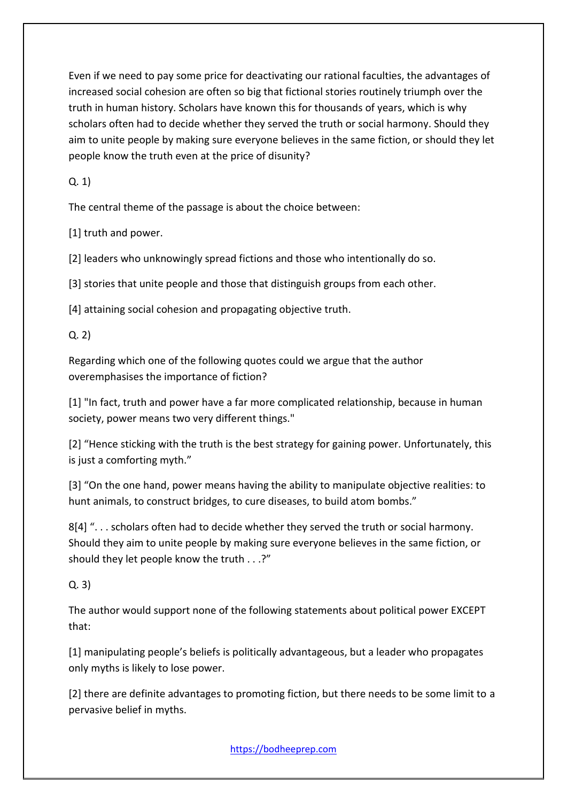Even if we need to pay some price for deactivating our rational faculties, the advantages of increased social cohesion are often so big that fictional stories routinely triumph over the truth in human history. Scholars have known this for thousands of years, which is why scholars often had to decide whether they served the truth or social harmony. Should they aim to unite people by making sure everyone believes in the same fiction, or should they let people know the truth even at the price of disunity?

Q. 1)

The central theme of the passage is about the choice between:

[1] truth and power.

[2] leaders who unknowingly spread fictions and those who intentionally do so.

[3] stories that unite people and those that distinguish groups from each other.

[4] attaining social cohesion and propagating objective truth.

Q. 2)

Regarding which one of the following quotes could we argue that the author overemphasises the importance of fiction?

[1] "In fact, truth and power have a far more complicated relationship, because in human society, power means two very different things."

[2] "Hence sticking with the truth is the best strategy for gaining power. Unfortunately, this is just a comforting myth."

[3] "On the one hand, power means having the ability to manipulate objective realities: to hunt animals, to construct bridges, to cure diseases, to build atom bombs."

8[4] ". . . scholars often had to decide whether they served the truth or social harmony. Should they aim to unite people by making sure everyone believes in the same fiction, or should they let people know the truth . . .?"

Q. 3)

The author would support none of the following statements about political power EXCEPT that:

[1] manipulating people's beliefs is politically advantageous, but a leader who propagates only myths is likely to lose power.

[2] there are definite advantages to promoting fiction, but there needs to be some limit to a pervasive belief in myths.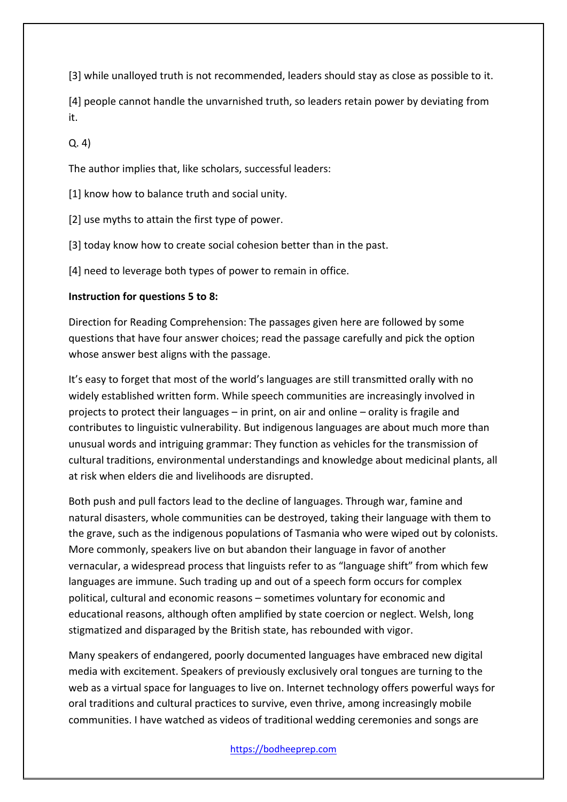[3] while unalloyed truth is not recommended, leaders should stay as close as possible to it.

[4] people cannot handle the unvarnished truth, so leaders retain power by deviating from it.

 $(0, 4)$ 

The author implies that, like scholars, successful leaders:

[1] know how to balance truth and social unity.

[2] use myths to attain the first type of power.

[3] today know how to create social cohesion better than in the past.

[4] need to leverage both types of power to remain in office.

### **Instruction for questions 5 to 8:**

Direction for Reading Comprehension: The passages given here are followed by some questions that have four answer choices; read the passage carefully and pick the option whose answer best aligns with the passage.

It's easy to forget that most of the world's languages are still transmitted orally with no widely established written form. While speech communities are increasingly involved in projects to protect their languages – in print, on air and online – orality is fragile and contributes to linguistic vulnerability. But indigenous languages are about much more than unusual words and intriguing grammar: They function as vehicles for the transmission of cultural traditions, environmental understandings and knowledge about medicinal plants, all at risk when elders die and livelihoods are disrupted.

Both push and pull factors lead to the decline of languages. Through war, famine and natural disasters, whole communities can be destroyed, taking their language with them to the grave, such as the indigenous populations of Tasmania who were wiped out by colonists. More commonly, speakers live on but abandon their language in favor of another vernacular, a widespread process that linguists refer to as "language shift" from which few languages are immune. Such trading up and out of a speech form occurs for complex political, cultural and economic reasons – sometimes voluntary for economic and educational reasons, although often amplified by state coercion or neglect. Welsh, long stigmatized and disparaged by the British state, has rebounded with vigor.

Many speakers of endangered, poorly documented languages have embraced new digital media with excitement. Speakers of previously exclusively oral tongues are turning to the web as a virtual space for languages to live on. Internet technology offers powerful ways for oral traditions and cultural practices to survive, even thrive, among increasingly mobile communities. I have watched as videos of traditional wedding ceremonies and songs are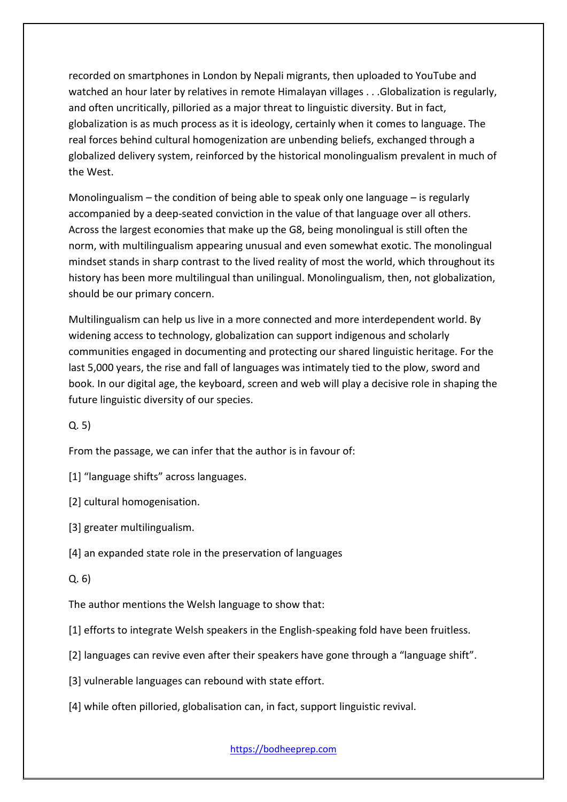recorded on smartphones in London by Nepali migrants, then uploaded to YouTube and watched an hour later by relatives in remote Himalayan villages . . .Globalization is regularly, and often uncritically, pilloried as a major threat to linguistic diversity. But in fact, globalization is as much process as it is ideology, certainly when it comes to language. The real forces behind cultural homogenization are unbending beliefs, exchanged through a globalized delivery system, reinforced by the historical monolingualism prevalent in much of the West.

Monolingualism – the condition of being able to speak only one language – is regularly accompanied by a deep-seated conviction in the value of that language over all others. Across the largest economies that make up the G8, being monolingual is still often the norm, with multilingualism appearing unusual and even somewhat exotic. The monolingual mindset stands in sharp contrast to the lived reality of most the world, which throughout its history has been more multilingual than unilingual. Monolingualism, then, not globalization, should be our primary concern.

Multilingualism can help us live in a more connected and more interdependent world. By widening access to technology, globalization can support indigenous and scholarly communities engaged in documenting and protecting our shared linguistic heritage. For the last 5,000 years, the rise and fall of languages was intimately tied to the plow, sword and book. In our digital age, the keyboard, screen and web will play a decisive role in shaping the future linguistic diversity of our species.

Q. 5)

From the passage, we can infer that the author is in favour of:

[1] "language shifts" across languages.

[2] cultural homogenisation.

[3] greater multilingualism.

[4] an expanded state role in the preservation of languages

Q. 6)

The author mentions the Welsh language to show that:

[1] efforts to integrate Welsh speakers in the English-speaking fold have been fruitless.

[2] languages can revive even after their speakers have gone through a "language shift".

[3] vulnerable languages can rebound with state effort.

[4] while often pilloried, globalisation can, in fact, support linguistic revival.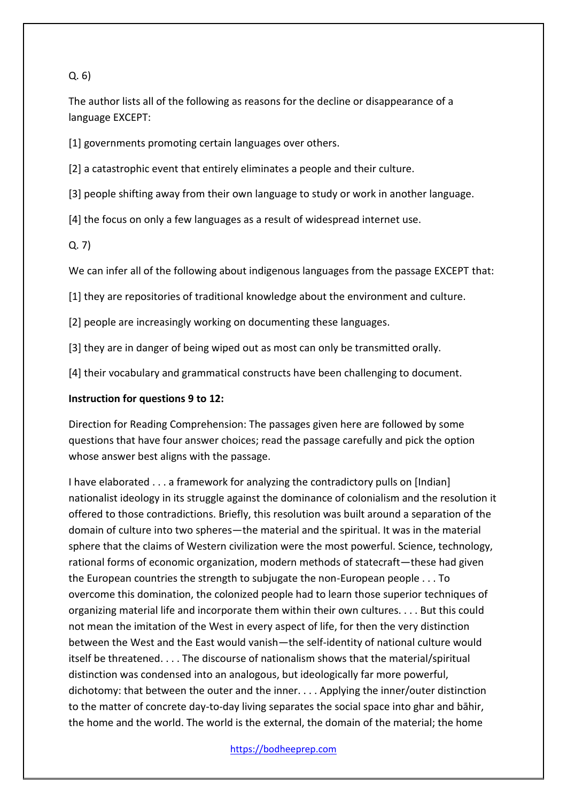## Q. 6)

The author lists all of the following as reasons for the decline or disappearance of a language EXCEPT:

[1] governments promoting certain languages over others.

[2] a catastrophic event that entirely eliminates a people and their culture.

[3] people shifting away from their own language to study or work in another language.

[4] the focus on only a few languages as a result of widespread internet use.

Q. 7)

We can infer all of the following about indigenous languages from the passage EXCEPT that:

[1] they are repositories of traditional knowledge about the environment and culture.

[2] people are increasingly working on documenting these languages.

[3] they are in danger of being wiped out as most can only be transmitted orally.

[4] their vocabulary and grammatical constructs have been challenging to document.

## **Instruction for questions 9 to 12:**

Direction for Reading Comprehension: The passages given here are followed by some questions that have four answer choices; read the passage carefully and pick the option whose answer best aligns with the passage.

I have elaborated . . . a framework for analyzing the contradictory pulls on [Indian] nationalist ideology in its struggle against the dominance of colonialism and the resolution it offered to those contradictions. Briefly, this resolution was built around a separation of the domain of culture into two spheres—the material and the spiritual. It was in the material sphere that the claims of Western civilization were the most powerful. Science, technology, rational forms of economic organization, modern methods of statecraft—these had given the European countries the strength to subjugate the non-European people . . . To overcome this domination, the colonized people had to learn those superior techniques of organizing material life and incorporate them within their own cultures. . . . But this could not mean the imitation of the West in every aspect of life, for then the very distinction between the West and the East would vanish—the self-identity of national culture would itself be threatened. . . . The discourse of nationalism shows that the material/spiritual distinction was condensed into an analogous, but ideologically far more powerful, dichotomy: that between the outer and the inner. . . . Applying the inner/outer distinction to the matter of concrete day-to-day living separates the social space into ghar and bāhir, the home and the world. The world is the external, the domain of the material; the home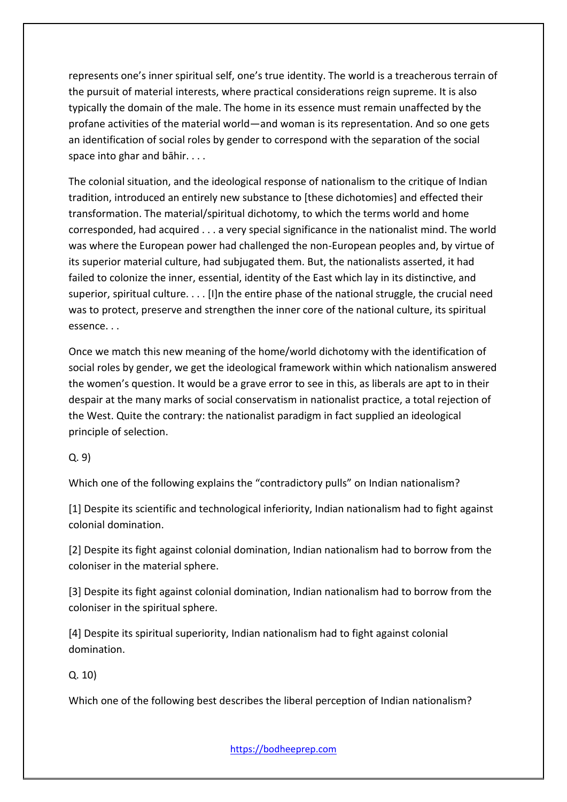represents one's inner spiritual self, one's true identity. The world is a treacherous terrain of the pursuit of material interests, where practical considerations reign supreme. It is also typically the domain of the male. The home in its essence must remain unaffected by the profane activities of the material world—and woman is its representation. And so one gets an identification of social roles by gender to correspond with the separation of the social space into ghar and bāhir. . . .

The colonial situation, and the ideological response of nationalism to the critique of Indian tradition, introduced an entirely new substance to [these dichotomies] and effected their transformation. The material/spiritual dichotomy, to which the terms world and home corresponded, had acquired . . . a very special significance in the nationalist mind. The world was where the European power had challenged the non-European peoples and, by virtue of its superior material culture, had subjugated them. But, the nationalists asserted, it had failed to colonize the inner, essential, identity of the East which lay in its distinctive, and superior, spiritual culture. . . . [I]n the entire phase of the national struggle, the crucial need was to protect, preserve and strengthen the inner core of the national culture, its spiritual essence. . .

Once we match this new meaning of the home/world dichotomy with the identification of social roles by gender, we get the ideological framework within which nationalism answered the women's question. It would be a grave error to see in this, as liberals are apt to in their despair at the many marks of social conservatism in nationalist practice, a total rejection of the West. Quite the contrary: the nationalist paradigm in fact supplied an ideological principle of selection.

### Q. 9)

Which one of the following explains the "contradictory pulls" on Indian nationalism?

[1] Despite its scientific and technological inferiority, Indian nationalism had to fight against colonial domination.

[2] Despite its fight against colonial domination, Indian nationalism had to borrow from the coloniser in the material sphere.

[3] Despite its fight against colonial domination, Indian nationalism had to borrow from the coloniser in the spiritual sphere.

[4] Despite its spiritual superiority, Indian nationalism had to fight against colonial domination.

Q. 10)

Which one of the following best describes the liberal perception of Indian nationalism?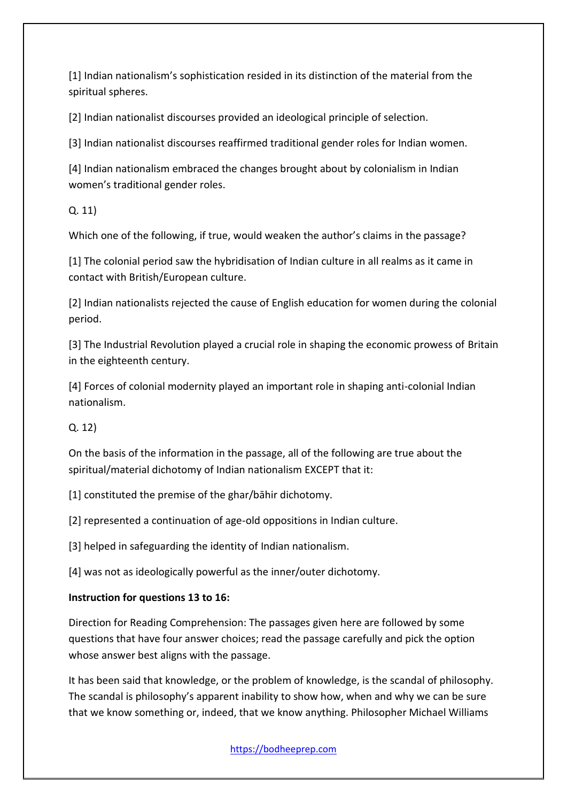[1] Indian nationalism's sophistication resided in its distinction of the material from the spiritual spheres.

[2] Indian nationalist discourses provided an ideological principle of selection.

[3] Indian nationalist discourses reaffirmed traditional gender roles for Indian women.

[4] Indian nationalism embraced the changes brought about by colonialism in Indian women's traditional gender roles.

Q. 11)

Which one of the following, if true, would weaken the author's claims in the passage?

[1] The colonial period saw the hybridisation of Indian culture in all realms as it came in contact with British/European culture.

[2] Indian nationalists rejected the cause of English education for women during the colonial period.

[3] The Industrial Revolution played a crucial role in shaping the economic prowess of Britain in the eighteenth century.

[4] Forces of colonial modernity played an important role in shaping anti-colonial Indian nationalism.

Q. 12)

On the basis of the information in the passage, all of the following are true about the spiritual/material dichotomy of Indian nationalism EXCEPT that it:

[1] constituted the premise of the ghar/bāhir dichotomy.

[2] represented a continuation of age-old oppositions in Indian culture.

[3] helped in safeguarding the identity of Indian nationalism.

[4] was not as ideologically powerful as the inner/outer dichotomy.

# **Instruction for questions 13 to 16:**

Direction for Reading Comprehension: The passages given here are followed by some questions that have four answer choices; read the passage carefully and pick the option whose answer best aligns with the passage.

It has been said that knowledge, or the problem of knowledge, is the scandal of philosophy. The scandal is philosophy's apparent inability to show how, when and why we can be sure that we know something or, indeed, that we know anything. Philosopher Michael Williams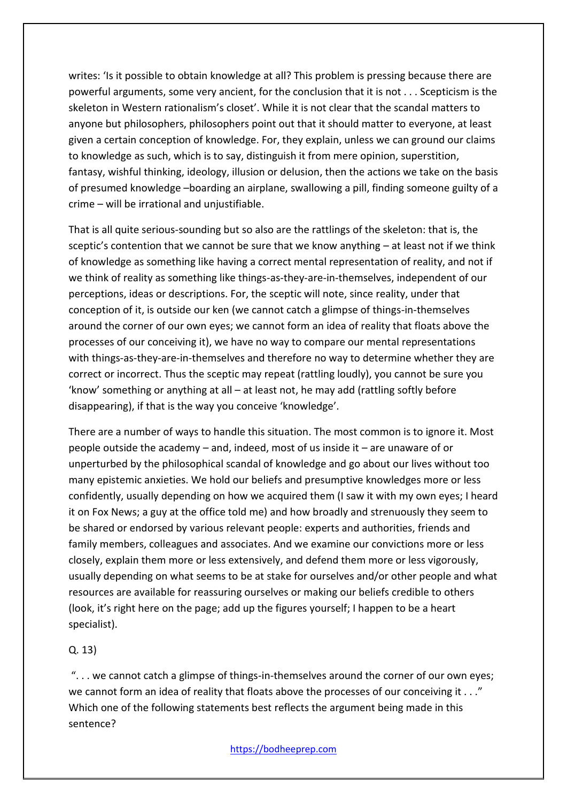writes: 'Is it possible to obtain knowledge at all? This problem is pressing because there are powerful arguments, some very ancient, for the conclusion that it is not . . . Scepticism is the skeleton in Western rationalism's closet'. While it is not clear that the scandal matters to anyone but philosophers, philosophers point out that it should matter to everyone, at least given a certain conception of knowledge. For, they explain, unless we can ground our claims to knowledge as such, which is to say, distinguish it from mere opinion, superstition, fantasy, wishful thinking, ideology, illusion or delusion, then the actions we take on the basis of presumed knowledge –boarding an airplane, swallowing a pill, finding someone guilty of a crime – will be irrational and unjustifiable.

That is all quite serious-sounding but so also are the rattlings of the skeleton: that is, the sceptic's contention that we cannot be sure that we know anything – at least not if we think of knowledge as something like having a correct mental representation of reality, and not if we think of reality as something like things-as-they-are-in-themselves, independent of our perceptions, ideas or descriptions. For, the sceptic will note, since reality, under that conception of it, is outside our ken (we cannot catch a glimpse of things-in-themselves around the corner of our own eyes; we cannot form an idea of reality that floats above the processes of our conceiving it), we have no way to compare our mental representations with things-as-they-are-in-themselves and therefore no way to determine whether they are correct or incorrect. Thus the sceptic may repeat (rattling loudly), you cannot be sure you 'know' something or anything at all – at least not, he may add (rattling softly before disappearing), if that is the way you conceive 'knowledge'.

There are a number of ways to handle this situation. The most common is to ignore it. Most people outside the academy – and, indeed, most of us inside it – are unaware of or unperturbed by the philosophical scandal of knowledge and go about our lives without too many epistemic anxieties. We hold our beliefs and presumptive knowledges more or less confidently, usually depending on how we acquired them (I saw it with my own eyes; I heard it on Fox News; a guy at the office told me) and how broadly and strenuously they seem to be shared or endorsed by various relevant people: experts and authorities, friends and family members, colleagues and associates. And we examine our convictions more or less closely, explain them more or less extensively, and defend them more or less vigorously, usually depending on what seems to be at stake for ourselves and/or other people and what resources are available for reassuring ourselves or making our beliefs credible to others (look, it's right here on the page; add up the figures yourself; I happen to be a heart specialist).

### Q. 13)

". . . we cannot catch a glimpse of things-in-themselves around the corner of our own eyes; we cannot form an idea of reality that floats above the processes of our conceiving it . . ." Which one of the following statements best reflects the argument being made in this sentence?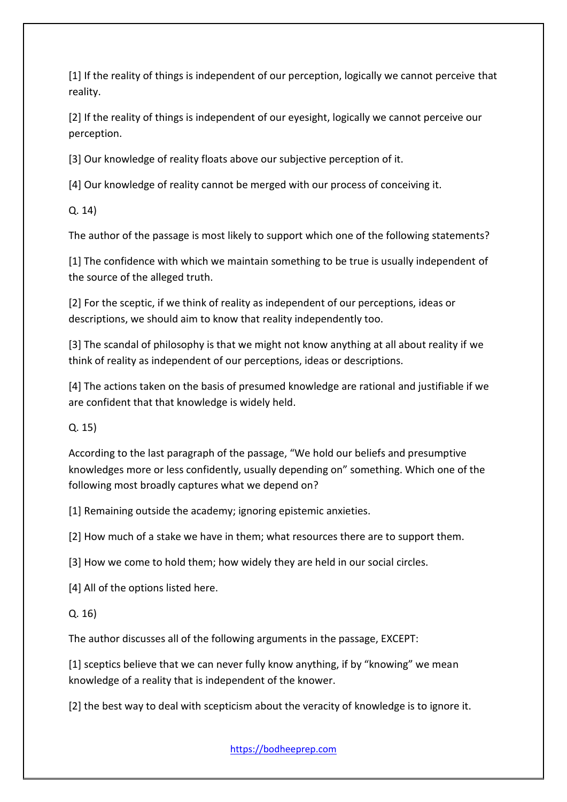[1] If the reality of things is independent of our perception, logically we cannot perceive that reality.

[2] If the reality of things is independent of our eyesight, logically we cannot perceive our perception.

[3] Our knowledge of reality floats above our subjective perception of it.

[4] Our knowledge of reality cannot be merged with our process of conceiving it.

Q. 14)

The author of the passage is most likely to support which one of the following statements?

[1] The confidence with which we maintain something to be true is usually independent of the source of the alleged truth.

[2] For the sceptic, if we think of reality as independent of our perceptions, ideas or descriptions, we should aim to know that reality independently too.

[3] The scandal of philosophy is that we might not know anything at all about reality if we think of reality as independent of our perceptions, ideas or descriptions.

[4] The actions taken on the basis of presumed knowledge are rational and justifiable if we are confident that that knowledge is widely held.

Q. 15)

According to the last paragraph of the passage, "We hold our beliefs and presumptive knowledges more or less confidently, usually depending on" something. Which one of the following most broadly captures what we depend on?

[1] Remaining outside the academy; ignoring epistemic anxieties.

[2] How much of a stake we have in them; what resources there are to support them.

[3] How we come to hold them; how widely they are held in our social circles.

[4] All of the options listed here.

# Q. 16)

The author discusses all of the following arguments in the passage, EXCEPT:

[1] sceptics believe that we can never fully know anything, if by "knowing" we mean knowledge of a reality that is independent of the knower.

[2] the best way to deal with scepticism about the veracity of knowledge is to ignore it.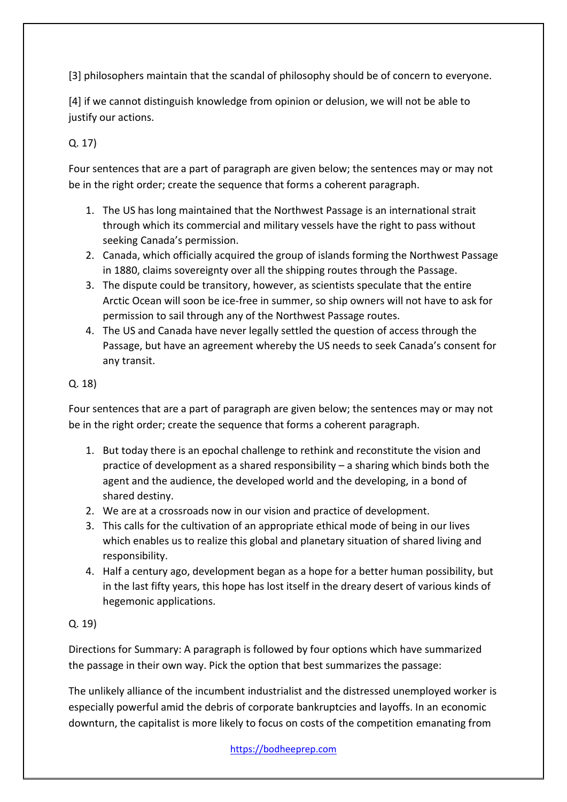[3] philosophers maintain that the scandal of philosophy should be of concern to everyone.

[4] if we cannot distinguish knowledge from opinion or delusion, we will not be able to justify our actions.

# Q. 17)

Four sentences that are a part of paragraph are given below; the sentences may or may not be in the right order; create the sequence that forms a coherent paragraph.

- 1. The US has long maintained that the Northwest Passage is an international strait through which its commercial and military vessels have the right to pass without seeking Canada's permission.
- 2. Canada, which officially acquired the group of islands forming the Northwest Passage in 1880, claims sovereignty over all the shipping routes through the Passage.
- 3. The dispute could be transitory, however, as scientists speculate that the entire Arctic Ocean will soon be ice-free in summer, so ship owners will not have to ask for permission to sail through any of the Northwest Passage routes.
- 4. The US and Canada have never legally settled the question of access through the Passage, but have an agreement whereby the US needs to seek Canada's consent for any transit.

## Q. 18)

Four sentences that are a part of paragraph are given below; the sentences may or may not be in the right order; create the sequence that forms a coherent paragraph.

- 1. But today there is an epochal challenge to rethink and reconstitute the vision and practice of development as a shared responsibility – a sharing which binds both the agent and the audience, the developed world and the developing, in a bond of shared destiny.
- 2. We are at a crossroads now in our vision and practice of development.
- 3. This calls for the cultivation of an appropriate ethical mode of being in our lives which enables us to realize this global and planetary situation of shared living and responsibility.
- 4. Half a century ago, development began as a hope for a better human possibility, but in the last fifty years, this hope has lost itself in the dreary desert of various kinds of hegemonic applications.

# Q. 19)

Directions for Summary: A paragraph is followed by four options which have summarized the passage in their own way. Pick the option that best summarizes the passage:

The unlikely alliance of the incumbent industrialist and the distressed unemployed worker is especially powerful amid the debris of corporate bankruptcies and layoffs. In an economic downturn, the capitalist is more likely to focus on costs of the competition emanating from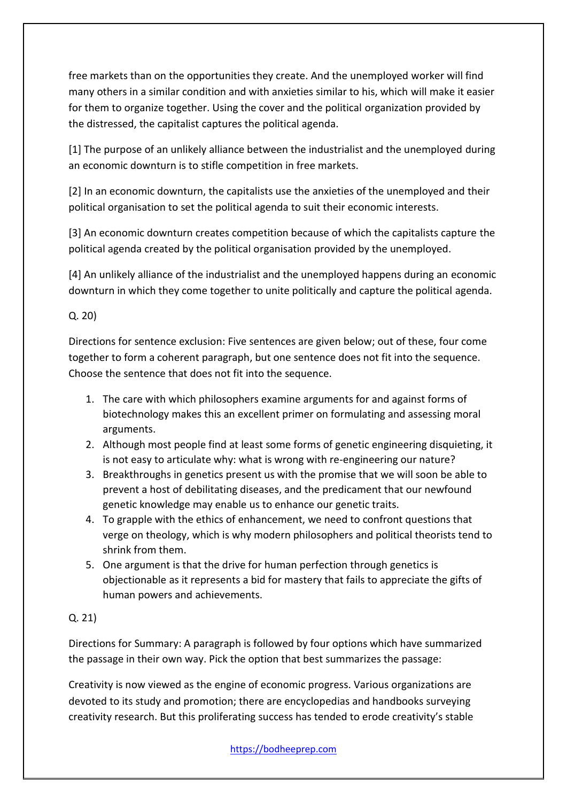free markets than on the opportunities they create. And the unemployed worker will find many others in a similar condition and with anxieties similar to his, which will make it easier for them to organize together. Using the cover and the political organization provided by the distressed, the capitalist captures the political agenda.

[1] The purpose of an unlikely alliance between the industrialist and the unemployed during an economic downturn is to stifle competition in free markets.

[2] In an economic downturn, the capitalists use the anxieties of the unemployed and their political organisation to set the political agenda to suit their economic interests.

[3] An economic downturn creates competition because of which the capitalists capture the political agenda created by the political organisation provided by the unemployed.

[4] An unlikely alliance of the industrialist and the unemployed happens during an economic downturn in which they come together to unite politically and capture the political agenda.

## Q. 20)

Directions for sentence exclusion: Five sentences are given below; out of these, four come together to form a coherent paragraph, but one sentence does not fit into the sequence. Choose the sentence that does not fit into the sequence.

- 1. The care with which philosophers examine arguments for and against forms of biotechnology makes this an excellent primer on formulating and assessing moral arguments.
- 2. Although most people find at least some forms of genetic engineering disquieting, it is not easy to articulate why: what is wrong with re-engineering our nature?
- 3. Breakthroughs in genetics present us with the promise that we will soon be able to prevent a host of debilitating diseases, and the predicament that our newfound genetic knowledge may enable us to enhance our genetic traits.
- 4. To grapple with the ethics of enhancement, we need to confront questions that verge on theology, which is why modern philosophers and political theorists tend to shrink from them.
- 5. One argument is that the drive for human perfection through genetics is objectionable as it represents a bid for mastery that fails to appreciate the gifts of human powers and achievements.

## Q. 21)

Directions for Summary: A paragraph is followed by four options which have summarized the passage in their own way. Pick the option that best summarizes the passage:

Creativity is now viewed as the engine of economic progress. Various organizations are devoted to its study and promotion; there are encyclopedias and handbooks surveying creativity research. But this proliferating success has tended to erode creativity's stable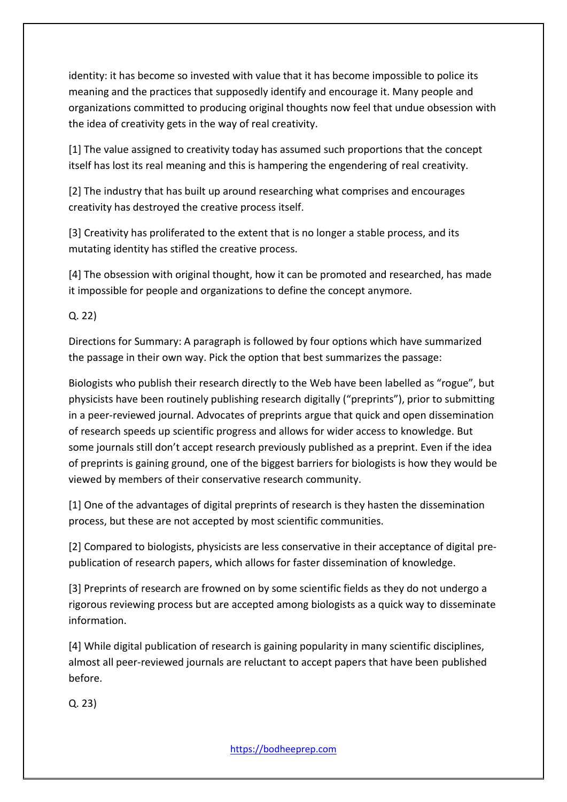identity: it has become so invested with value that it has become impossible to police its meaning and the practices that supposedly identify and encourage it. Many people and organizations committed to producing original thoughts now feel that undue obsession with the idea of creativity gets in the way of real creativity.

[1] The value assigned to creativity today has assumed such proportions that the concept itself has lost its real meaning and this is hampering the engendering of real creativity.

[2] The industry that has built up around researching what comprises and encourages creativity has destroyed the creative process itself.

[3] Creativity has proliferated to the extent that is no longer a stable process, and its mutating identity has stifled the creative process.

[4] The obsession with original thought, how it can be promoted and researched, has made it impossible for people and organizations to define the concept anymore.

Q. 22)

Directions for Summary: A paragraph is followed by four options which have summarized the passage in their own way. Pick the option that best summarizes the passage:

Biologists who publish their research directly to the Web have been labelled as "rogue", but physicists have been routinely publishing research digitally ("preprints"), prior to submitting in a peer-reviewed journal. Advocates of preprints argue that quick and open dissemination of research speeds up scientific progress and allows for wider access to knowledge. But some journals still don't accept research previously published as a preprint. Even if the idea of preprints is gaining ground, one of the biggest barriers for biologists is how they would be viewed by members of their conservative research community.

[1] One of the advantages of digital preprints of research is they hasten the dissemination process, but these are not accepted by most scientific communities.

[2] Compared to biologists, physicists are less conservative in their acceptance of digital prepublication of research papers, which allows for faster dissemination of knowledge.

[3] Preprints of research are frowned on by some scientific fields as they do not undergo a rigorous reviewing process but are accepted among biologists as a quick way to disseminate information.

[4] While digital publication of research is gaining popularity in many scientific disciplines, almost all peer-reviewed journals are reluctant to accept papers that have been published before.

Q. 23)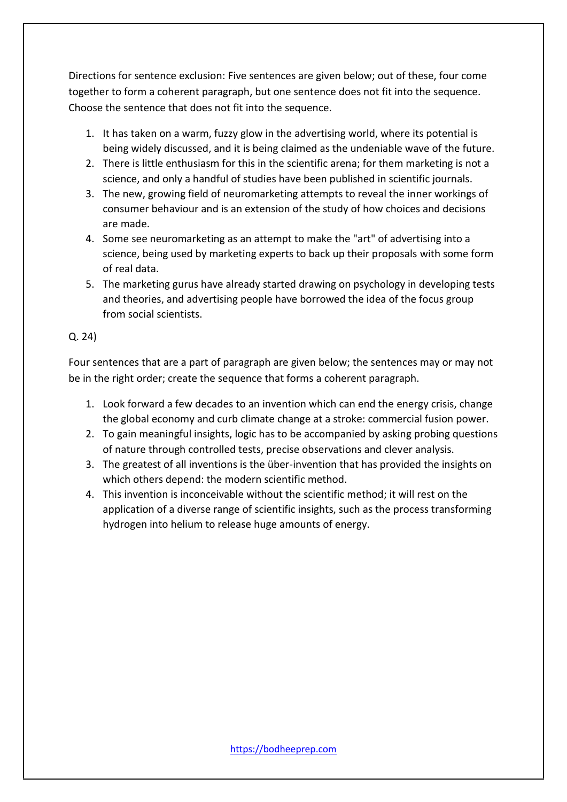Directions for sentence exclusion: Five sentences are given below; out of these, four come together to form a coherent paragraph, but one sentence does not fit into the sequence. Choose the sentence that does not fit into the sequence.

- 1. It has taken on a warm, fuzzy glow in the advertising world, where its potential is being widely discussed, and it is being claimed as the undeniable wave of the future.
- 2. There is little enthusiasm for this in the scientific arena; for them marketing is not a science, and only a handful of studies have been published in scientific journals.
- 3. The new, growing field of neuromarketing attempts to reveal the inner workings of consumer behaviour and is an extension of the study of how choices and decisions are made.
- 4. Some see neuromarketing as an attempt to make the "art" of advertising into a science, being used by marketing experts to back up their proposals with some form of real data.
- 5. The marketing gurus have already started drawing on psychology in developing tests and theories, and advertising people have borrowed the idea of the focus group from social scientists.

## Q. 24)

Four sentences that are a part of paragraph are given below; the sentences may or may not be in the right order; create the sequence that forms a coherent paragraph.

- 1. Look forward a few decades to an invention which can end the energy crisis, change the global economy and curb climate change at a stroke: commercial fusion power.
- 2. To gain meaningful insights, logic has to be accompanied by asking probing questions of nature through controlled tests, precise observations and clever analysis.
- 3. The greatest of all inventions is the über-invention that has provided the insights on which others depend: the modern scientific method.
- 4. This invention is inconceivable without the scientific method; it will rest on the application of a diverse range of scientific insights, such as the process transforming hydrogen into helium to release huge amounts of energy.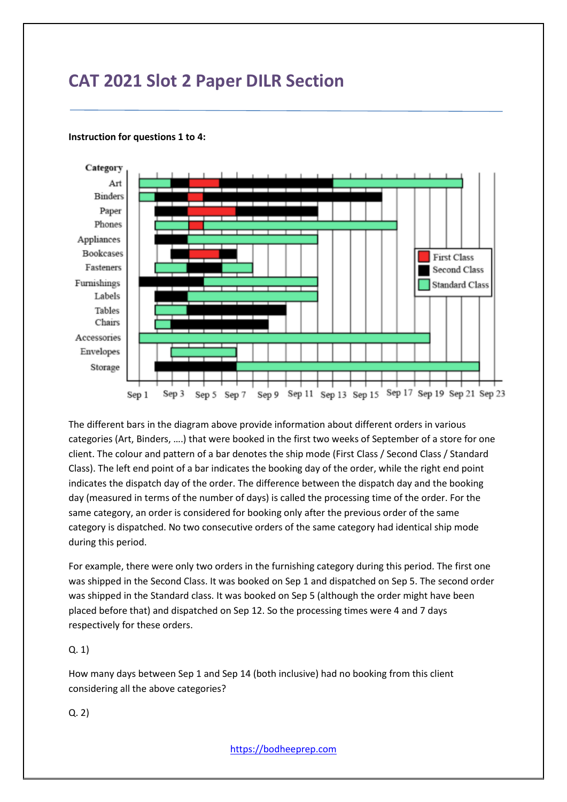# **CAT 2021 Slot 2 Paper DILR Section**



#### **Instruction for questions 1 to 4:**

The different bars in the diagram above provide information about different orders in various categories (Art, Binders, ….) that were booked in the first two weeks of September of a store for one client. The colour and pattern of a bar denotes the ship mode (First Class / Second Class / Standard Class). The left end point of a bar indicates the booking day of the order, while the right end point indicates the dispatch day of the order. The difference between the dispatch day and the booking day (measured in terms of the number of days) is called the processing time of the order. For the same category, an order is considered for booking only after the previous order of the same category is dispatched. No two consecutive orders of the same category had identical ship mode during this period.

For example, there were only two orders in the furnishing category during this period. The first one was shipped in the Second Class. It was booked on Sep 1 and dispatched on Sep 5. The second order was shipped in the Standard class. It was booked on Sep 5 (although the order might have been placed before that) and dispatched on Sep 12. So the processing times were 4 and 7 days respectively for these orders.

#### Q. 1)

How many days between Sep 1 and Sep 14 (both inclusive) had no booking from this client considering all the above categories?

Q. 2)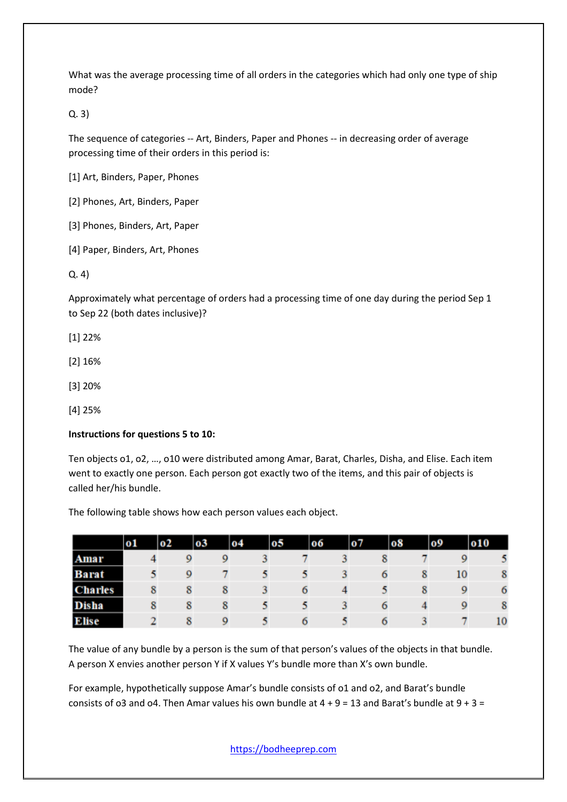What was the average processing time of all orders in the categories which had only one type of ship mode?

Q. 3)

The sequence of categories -- Art, Binders, Paper and Phones -- in decreasing order of average processing time of their orders in this period is:

[1] Art, Binders, Paper, Phones

[2] Phones, Art, Binders, Paper

[3] Phones, Binders, Art, Paper

[4] Paper, Binders, Art, Phones

Q. 4)

Approximately what percentage of orders had a processing time of one day during the period Sep 1 to Sep 22 (both dates inclusive)?

[1] 22%

[2] 16%

[3] 20%

[4] 25%

#### **Instructions for questions 5 to 10:**

Ten objects o1, o2, …, o10 were distributed among Amar, Barat, Charles, Disha, and Elise. Each item went to exactly one person. Each person got exactly two of the items, and this pair of objects is called her/his bundle.

The following table shows how each person values each object.

|                | $\bf{01}$ | ο2 | 0 <sup>3</sup> | 04 | 0 <sub>5</sub> | 06 | <b>o</b> 7 | 08 | 09 | 010 |
|----------------|-----------|----|----------------|----|----------------|----|------------|----|----|-----|
| Amar           |           |    |                |    |                |    |            |    |    |     |
| <b>Barat</b>   |           | O  |                |    |                |    | o          | 8  | 10 | 8   |
| <b>Charles</b> |           | 8  | o              |    |                |    |            |    |    | 6   |
| <b>Disha</b>   |           |    | ð              |    |                |    | o          |    |    | 8   |
| <b>Elise</b>   |           |    |                |    |                |    |            |    |    | 10  |

The value of any bundle by a person is the sum of that person's values of the objects in that bundle. A person X envies another person Y if X values Y's bundle more than X's own bundle.

For example, hypothetically suppose Amar's bundle consists of o1 and o2, and Barat's bundle consists of 03 and 04. Then Amar values his own bundle at  $4 + 9 = 13$  and Barat's bundle at  $9 + 3 = 12$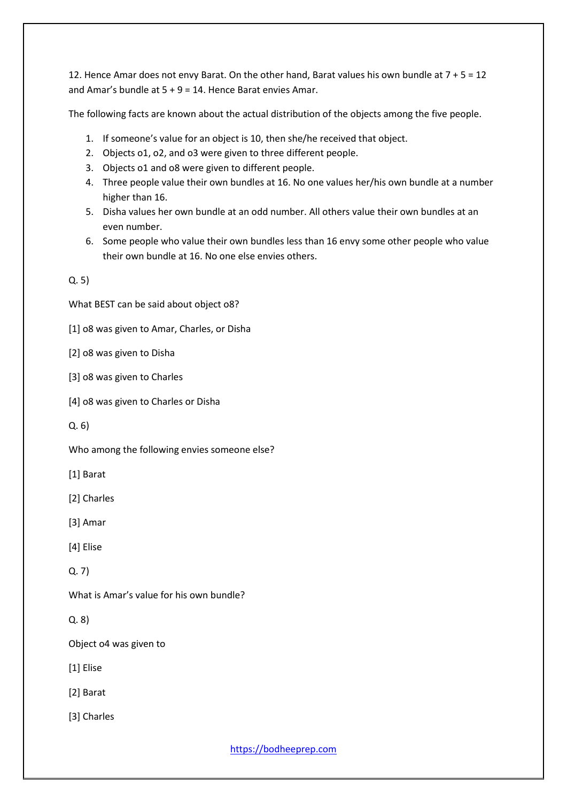12. Hence Amar does not envy Barat. On the other hand, Barat values his own bundle at  $7 + 5 = 12$ and Amar's bundle at 5 + 9 = 14. Hence Barat envies Amar.

The following facts are known about the actual distribution of the objects among the five people.

- 1. If someone's value for an object is 10, then she/he received that object.
- 2. Objects o1, o2, and o3 were given to three different people.
- 3. Objects o1 and o8 were given to different people.
- 4. Three people value their own bundles at 16. No one values her/his own bundle at a number higher than 16.
- 5. Disha values her own bundle at an odd number. All others value their own bundles at an even number.
- 6. Some people who value their own bundles less than 16 envy some other people who value their own bundle at 16. No one else envies others.

Q. 5)

What BEST can be said about object o8?

[1] o8 was given to Amar, Charles, or Disha

[2] o8 was given to Disha

[3] o8 was given to Charles

[4] o8 was given to Charles or Disha

Q. 6)

Who among the following envies someone else?

[1] Barat

[2] Charles

[3] Amar

[4] Elise

Q. 7)

What is Amar's value for his own bundle?

Q. 8)

Object o4 was given to

[1] Elise

[2] Barat

[3] Charles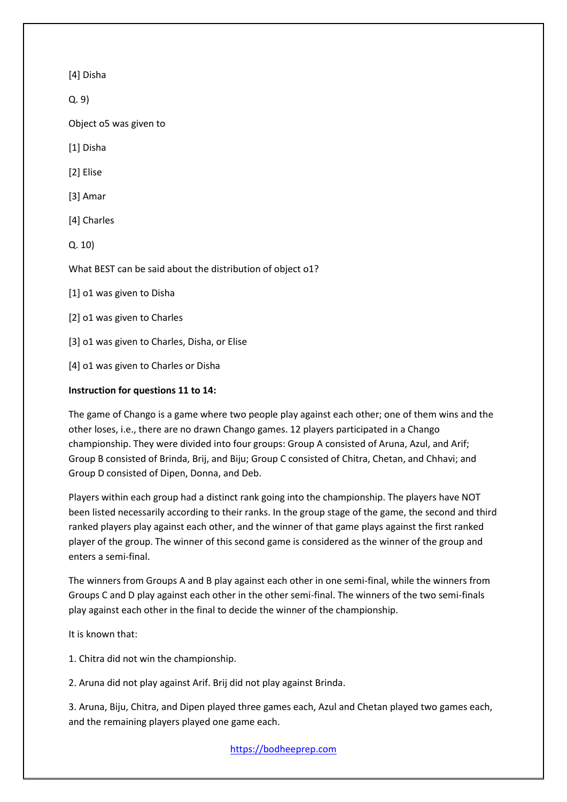[4] Disha

Q. 9)

Object o5 was given to

[1] Disha

[2] Elise

[3] Amar

[4] Charles

Q. 10)

What BEST can be said about the distribution of object o1?

[1] o1 was given to Disha

[2] o1 was given to Charles

[3] o1 was given to Charles, Disha, or Elise

[4] o1 was given to Charles or Disha

#### **Instruction for questions 11 to 14:**

The game of Chango is a game where two people play against each other; one of them wins and the other loses, i.e., there are no drawn Chango games. 12 players participated in a Chango championship. They were divided into four groups: Group A consisted of Aruna, Azul, and Arif; Group B consisted of Brinda, Brij, and Biju; Group C consisted of Chitra, Chetan, and Chhavi; and Group D consisted of Dipen, Donna, and Deb.

Players within each group had a distinct rank going into the championship. The players have NOT been listed necessarily according to their ranks. In the group stage of the game, the second and third ranked players play against each other, and the winner of that game plays against the first ranked player of the group. The winner of this second game is considered as the winner of the group and enters a semi-final.

The winners from Groups A and B play against each other in one semi-final, while the winners from Groups C and D play against each other in the other semi-final. The winners of the two semi-finals play against each other in the final to decide the winner of the championship.

It is known that:

1. Chitra did not win the championship.

2. Aruna did not play against Arif. Brij did not play against Brinda.

3. Aruna, Biju, Chitra, and Dipen played three games each, Azul and Chetan played two games each, and the remaining players played one game each.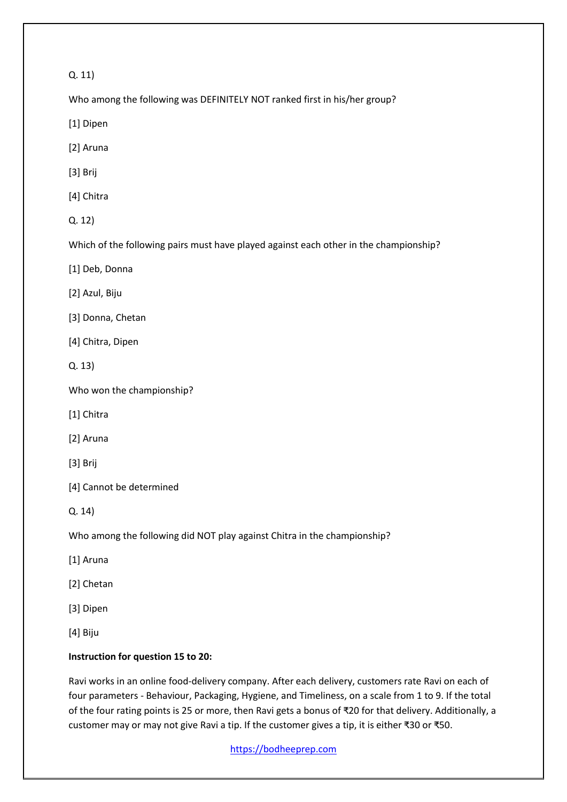Q. 11)

Who among the following was DEFINITELY NOT ranked first in his/her group?

[1] Dipen

- [2] Aruna
- [3] Brij
- [4] Chitra
- Q. 12)

Which of the following pairs must have played against each other in the championship?

[1] Deb, Donna

[2] Azul, Biju

[3] Donna, Chetan

[4] Chitra, Dipen

Q. 13)

Who won the championship?

[1] Chitra

[2] Aruna

[3] Brij

[4] Cannot be determined

Q. 14)

Who among the following did NOT play against Chitra in the championship?

[1] Aruna

[2] Chetan

[3] Dipen

[4] Biju

#### **Instruction for question 15 to 20:**

Ravi works in an online food-delivery company. After each delivery, customers rate Ravi on each of four parameters - Behaviour, Packaging, Hygiene, and Timeliness, on a scale from 1 to 9. If the total of the four rating points is 25 or more, then Ravi gets a bonus of ₹20 for that delivery. Additionally, a customer may or may not give Ravi a tip. If the customer gives a tip, it is either ₹30 or ₹50.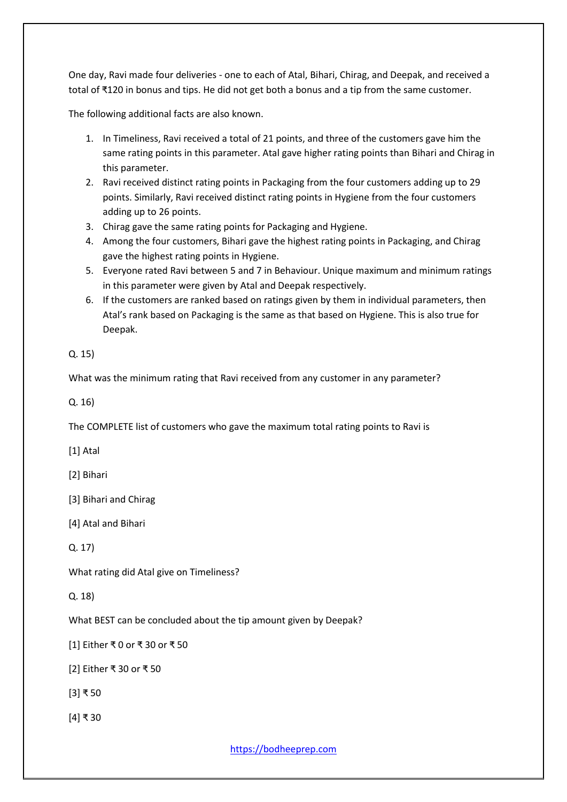One day, Ravi made four deliveries - one to each of Atal, Bihari, Chirag, and Deepak, and received a total of ₹120 in bonus and tips. He did not get both a bonus and a tip from the same customer.

The following additional facts are also known.

- 1. In Timeliness, Ravi received a total of 21 points, and three of the customers gave him the same rating points in this parameter. Atal gave higher rating points than Bihari and Chirag in this parameter.
- 2. Ravi received distinct rating points in Packaging from the four customers adding up to 29 points. Similarly, Ravi received distinct rating points in Hygiene from the four customers adding up to 26 points.
- 3. Chirag gave the same rating points for Packaging and Hygiene.
- 4. Among the four customers, Bihari gave the highest rating points in Packaging, and Chirag gave the highest rating points in Hygiene.
- 5. Everyone rated Ravi between 5 and 7 in Behaviour. Unique maximum and minimum ratings in this parameter were given by Atal and Deepak respectively.
- 6. If the customers are ranked based on ratings given by them in individual parameters, then Atal's rank based on Packaging is the same as that based on Hygiene. This is also true for Deepak.

Q. 15)

What was the minimum rating that Ravi received from any customer in any parameter?

Q. 16)

The COMPLETE list of customers who gave the maximum total rating points to Ravi is

[1] Atal

[2] Bihari

[3] Bihari and Chirag

[4] Atal and Bihari

Q. 17)

What rating did Atal give on Timeliness?

Q. 18)

What BEST can be concluded about the tip amount given by Deepak?

[1] Either ₹ 0 or ₹ 30 or ₹ 50

[2] Either ₹ 30 or ₹ 50

[3] ₹ 50

[4] ₹ 30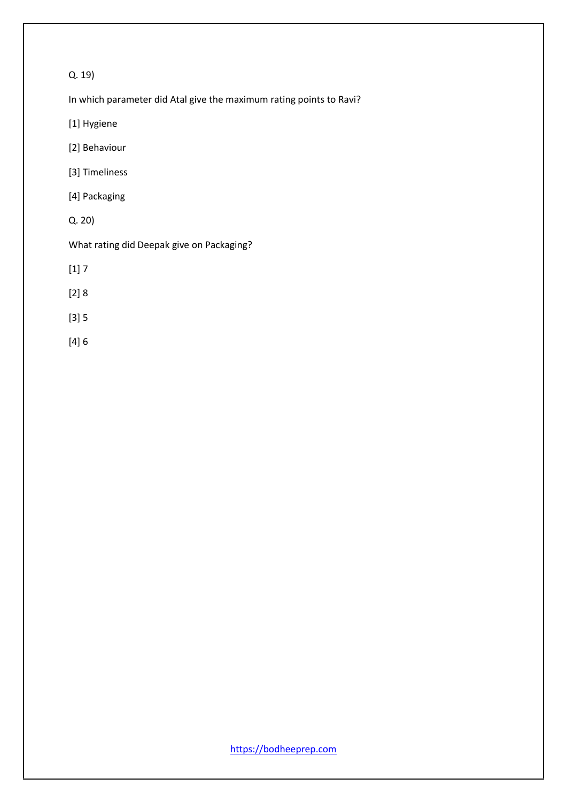### Q. 19)

In which parameter did Atal give the maximum rating points to Ravi?

[1] Hygiene

- [2] Behaviour
- [3] Timeliness
- [4] Packaging
- Q. 20)

What rating did Deepak give on Packaging?

- [1] 7
- [2] 8
- [3] 5
- [4] 6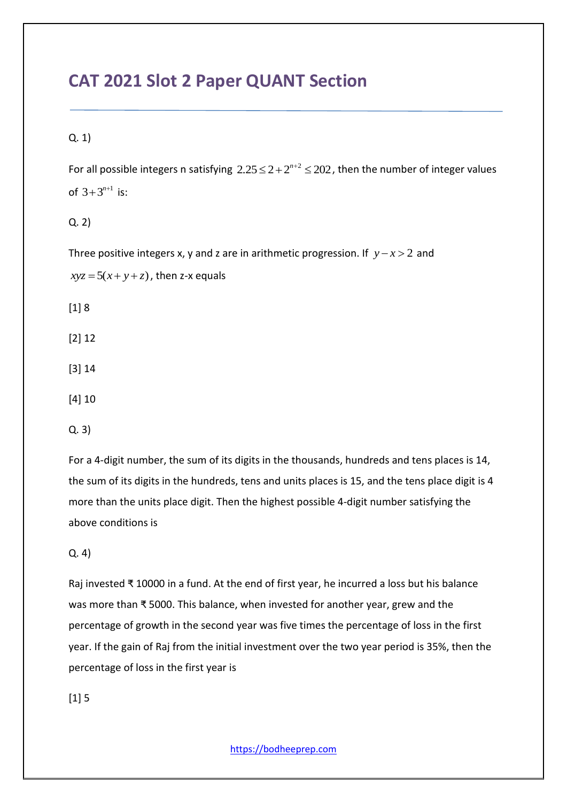# **CAT 2021 Slot 2 Paper QUANT Section**

Q. 1)

For all possible integers n satisfying  $2.25 \leq 2 + 2^{n+2} \leq 202$ , then the number of integer values of  $3+3^{n+1}$  is:

Q. 2)

Three positive integers x, y and z are in arithmetic progression. If  $y - x > 2$  and

 $xyz = 5(x + y + z)$ , then z-x equals

[1] 8

[2] 12

[3] 14

[4] 10

Q. 3)

For a 4-digit number, the sum of its digits in the thousands, hundreds and tens places is 14, the sum of its digits in the hundreds, tens and units places is 15, and the tens place digit is 4 more than the units place digit. Then the highest possible 4-digit number satisfying the above conditions is

## Q. 4)

Raj invested ₹ 10000 in a fund. At the end of first year, he incurred a loss but his balance was more than ₹ 5000. This balance, when invested for another year, grew and the percentage of growth in the second year was five times the percentage of loss in the first year. If the gain of Raj from the initial investment over the two year period is 35%, then the percentage of loss in the first year is

[1] 5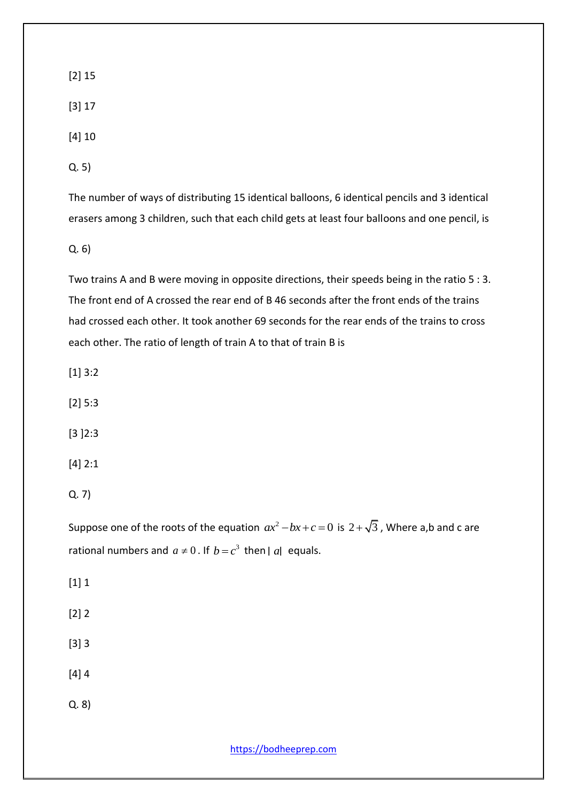[2] 15

[4] 10

[3] 17

Q. 5)

The number of ways of distributing 15 identical balloons, 6 identical pencils and 3 identical erasers among 3 children, such that each child gets at least four balloons and one pencil, is

Q. 6)

Two trains A and B were moving in opposite directions, their speeds being in the ratio 5 : 3. The front end of A crossed the rear end of B 46 seconds after the front ends of the trains had crossed each other. It took another 69 seconds for the rear ends of the trains to cross each other. The ratio of length of train A to that of train B is

[1] 3:2

[2] 5:3

[3 ]2:3

[4] 2:1

Q. 7)

Suppose one of the roots of the equation  $ax^2 - bx + c = 0$  is  $2 + \sqrt{3}$ , Where a,b and c are rational numbers and  $a \neq 0$ . If  $b = c<sup>3</sup>$  then | a| equals.

 $[1]$  1

[2] 2

[3] 3

[4] 4

Q. 8)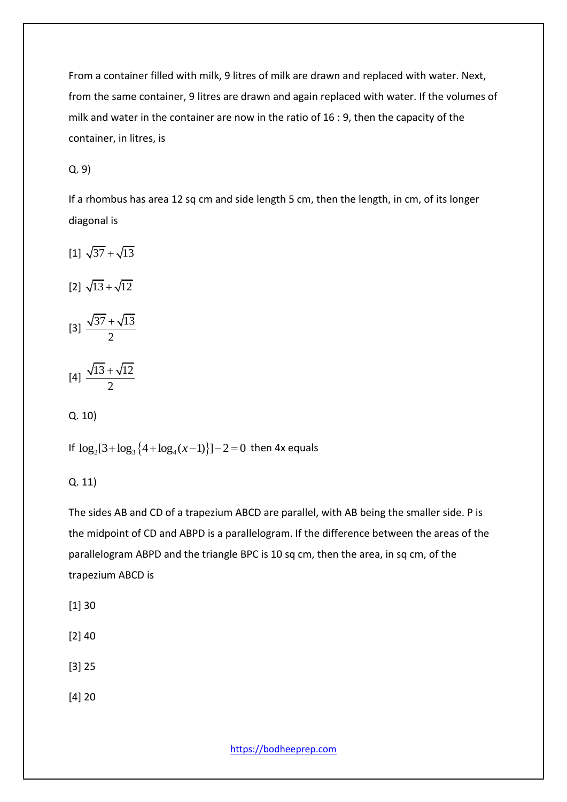From a container filled with milk, 9 litres of milk are drawn and replaced with water. Next, from the same container, 9 litres are drawn and again replaced with water. If the volumes of milk and water in the container are now in the ratio of 16 : 9, then the capacity of the container, in litres, is

Q. 9)

If a rhombus has area 12 sq cm and side length 5 cm, then the length, in cm, of its longer diagonal is

$$
[1] \sqrt{37} + \sqrt{13}
$$
  

$$
[2] \sqrt{13} + \sqrt{12}
$$
  

$$
[3] \frac{\sqrt{37} + \sqrt{13}}{2}
$$
  

$$
[4] \frac{\sqrt{13} + \sqrt{12}}{2}
$$
  

$$
Q. 10)
$$

If  $\log_2[3 + \log_3(4 + \log_4(x-1)] - 2 = 0$  then 4x equals

Q. 11)

The sides AB and CD of a trapezium ABCD are parallel, with AB being the smaller side. P is the midpoint of CD and ABPD is a parallelogram. If the difference between the areas of the parallelogram ABPD and the triangle BPC is 10 sq cm, then the area, in sq cm, of the trapezium ABCD is

- [1] 30
- [2] 40
- [3] 25
- [4] 20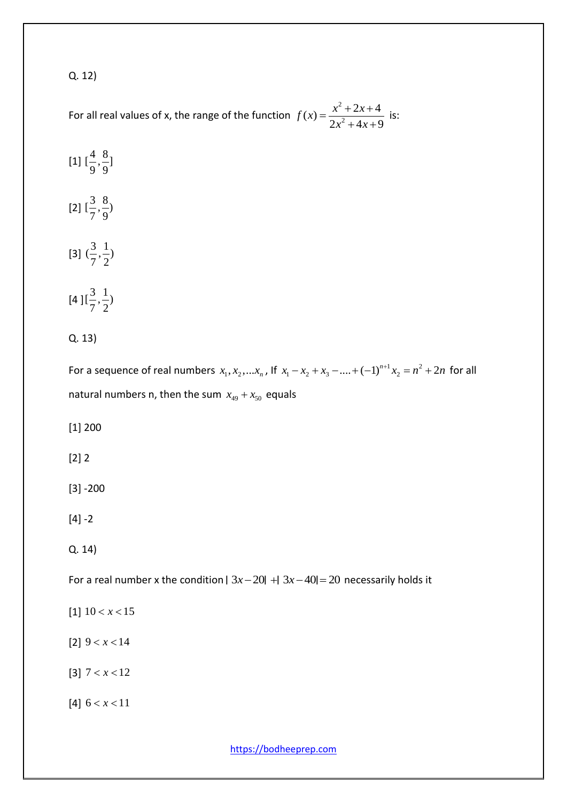Q. 12)

For all real values of x, the range of the function 2  $(x) = \frac{x^2 + 2x + 4}{2x^2 + 4x + 6}$  $\sqrt{2x^2+4x+9}$  $f(x) = \frac{x^2 + 2x}{2x^2}$  $\sqrt{x^2+4x}$  $=\frac{x^2+2x+4}{2x^2+4x+9}$  is:

$$
[1] \left[\frac{4}{9}, \frac{8}{9}\right]
$$
  

$$
[2] \left[\frac{3}{7}, \frac{8}{9}\right)
$$
  

$$
[3] \left(\frac{3}{7}, \frac{1}{2}\right)
$$
  

$$
[4] \left[\frac{3}{7}, \frac{1}{2}\right)
$$

Q. 13)

For a sequence of real numbers  $x_1, x_2,...x_n$ , If  $x_1 - x_2 + x_3 - ... + (-1)^{n+1}x_2 = n^2 + 2n$ +  $-x_2 + x_3 - ... + (-1)^{n+1}x_2 = n^2 + 2n$  for all natural numbers n, then the sum  $x_{49} + x_{50}$  equals

[1] 200

[2] 2

[3] -200

 $[4] -2$ 

Q. 14)

For a real number x the condition  $|3x-20| + |3x-40| = 20$  necessarily holds it

[1]  $10 < x < 15$ 

[2]  $9 < x < 14$ 

[3]  $7 < x < 12$ 

[4]  $6 < x < 11$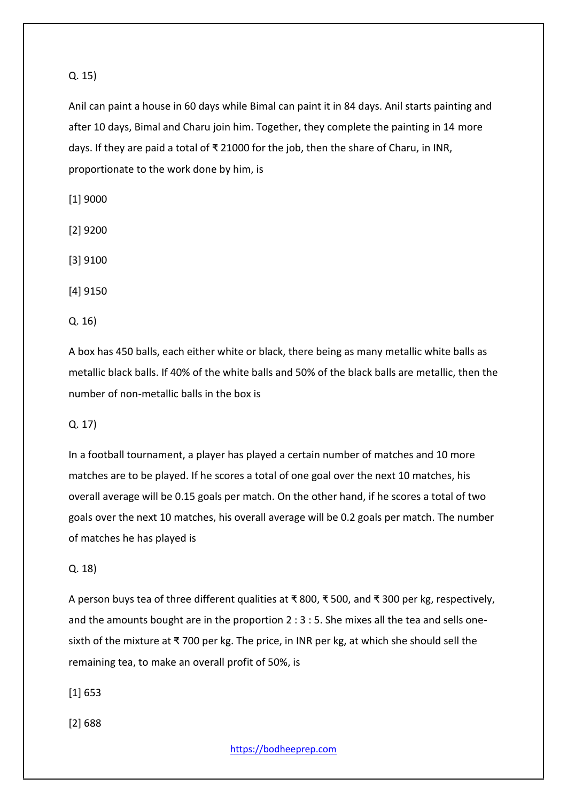#### Q. 15)

Anil can paint a house in 60 days while Bimal can paint it in 84 days. Anil starts painting and after 10 days, Bimal and Charu join him. Together, they complete the painting in 14 more days. If they are paid a total of ₹ 21000 for the job, then the share of Charu, in INR, proportionate to the work done by him, is

[1] 9000 [2] 9200 [3] 9100 [4] 9150

Q. 16)

A box has 450 balls, each either white or black, there being as many metallic white balls as metallic black balls. If 40% of the white balls and 50% of the black balls are metallic, then the number of non-metallic balls in the box is

Q. 17)

In a football tournament, a player has played a certain number of matches and 10 more matches are to be played. If he scores a total of one goal over the next 10 matches, his overall average will be 0.15 goals per match. On the other hand, if he scores a total of two goals over the next 10 matches, his overall average will be 0.2 goals per match. The number of matches he has played is

#### Q. 18)

A person buys tea of three different qualities at ₹ 800, ₹ 500, and ₹ 300 per kg, respectively, and the amounts bought are in the proportion 2 : 3 : 5. She mixes all the tea and sells onesixth of the mixture at ₹ 700 per kg. The price, in INR per kg, at which she should sell the remaining tea, to make an overall profit of 50%, is

[1] 653

[2] 688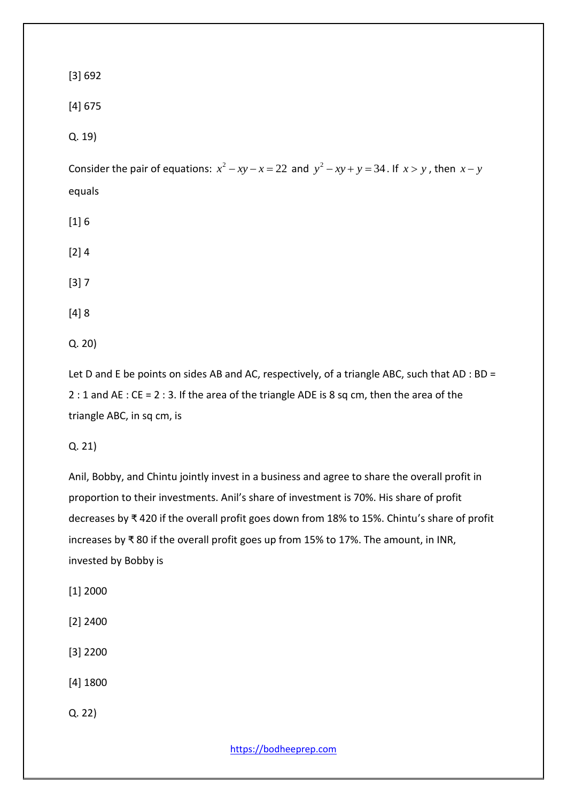[3] 692

[4] 675

Q. 19)

Consider the pair of equations:  $x^2 - xy - x = 22$  and  $y^2 - xy + y = 34$ . If  $x > y$ , then  $x - y$ equals

[1] 6

 $[2] 4$ 

[3] 7

[4] 8

Q. 20)

Let D and E be points on sides AB and AC, respectively, of a triangle ABC, such that AD : BD = 2 : 1 and AE : CE = 2 : 3. If the area of the triangle ADE is 8 sq cm, then the area of the triangle ABC, in sq cm, is

Q. 21)

Anil, Bobby, and Chintu jointly invest in a business and agree to share the overall profit in proportion to their investments. Anil's share of investment is 70%. His share of profit decreases by ₹ 420 if the overall profit goes down from 18% to 15%. Chintu's share of profit increases by ₹ 80 if the overall profit goes up from 15% to 17%. The amount, in INR, invested by Bobby is

[1] 2000

[2] 2400

[3] 2200

[4] 1800

Q. 22)